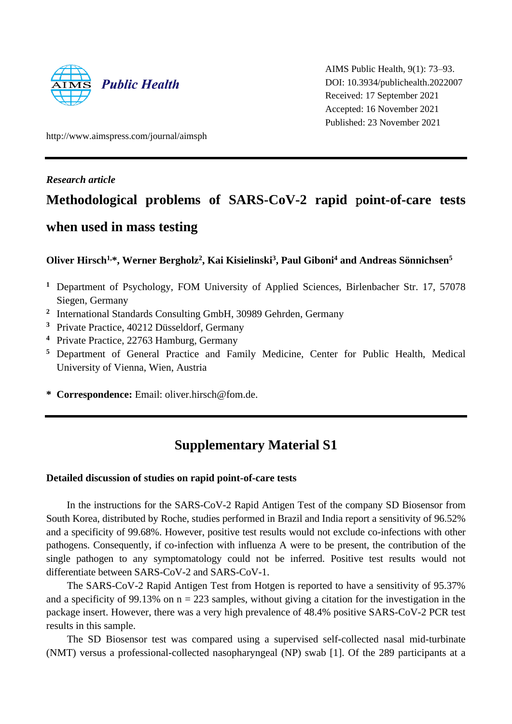

AIMS Public Health, 9(1): 73–93. DOI: 10.3934/publichealth.2022007 Received: 17 September 2021 Accepted: 16 November 2021 Published: 23 November 2021

http://www.aimspress.com/journal/aimsph

*Research article*

# **Methodological problems of SARS-CoV-2 rapid** p**oint-of-care tests when used in mass testing**

**Oliver Hirsch1,\*, Werner Bergholz<sup>2</sup> , Kai Kisielinski<sup>3</sup> , Paul Giboni<sup>4</sup> and Andreas Sönnichsen<sup>5</sup>**

- **<sup>1</sup>** Department of Psychology, FOM University of Applied Sciences, Birlenbacher Str. 17, 57078 Siegen, Germany
- **2** International Standards Consulting GmbH, 30989 Gehrden, Germany
- **<sup>3</sup>** Private Practice, 40212 Düsseldorf, Germany
- **<sup>4</sup>** Private Practice, 22763 Hamburg, Germany
- **<sup>5</sup>** Department of General Practice and Family Medicine, Center for Public Health, Medical University of Vienna, Wien, Austria
- **\* Correspondence:** Email: oliver.hirsch@fom.de.

## **Supplementary Material S1**

#### **Detailed discussion of studies on rapid point-of-care tests**

In the instructions for the SARS-CoV-2 Rapid Antigen Test of the company SD Biosensor from South Korea, distributed by Roche, studies performed in Brazil and India report a sensitivity of 96.52% and a specificity of 99.68%. However, positive test results would not exclude co-infections with other pathogens. Consequently, if co-infection with influenza A were to be present, the contribution of the single pathogen to any symptomatology could not be inferred. Positive test results would not differentiate between SARS-CoV-2 and SARS-CoV-1.

The SARS-CoV-2 Rapid Antigen Test from Hotgen is reported to have a sensitivity of 95.37% and a specificity of 99.13% on  $n = 223$  samples, without giving a citation for the investigation in the package insert. However, there was a very high prevalence of 48.4% positive SARS-CoV-2 PCR test results in this sample.

The SD Biosensor test was compared using a supervised self-collected nasal mid-turbinate (NMT) versus a professional-collected nasopharyngeal (NP) swab [1]. Of the 289 participants at a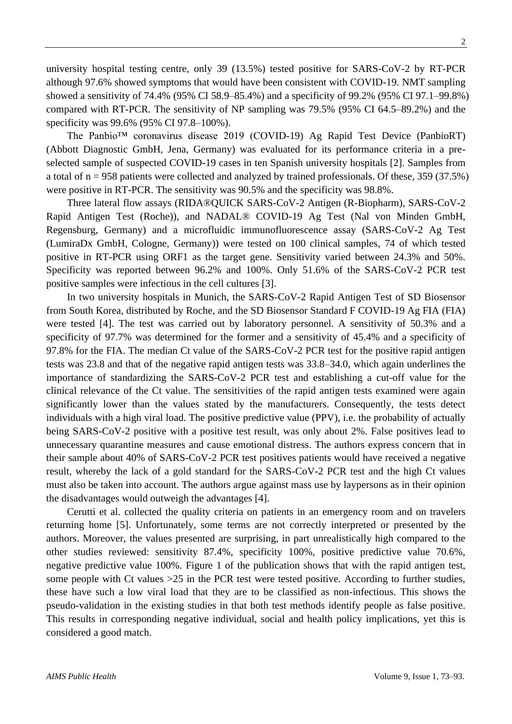university hospital testing centre, only 39 (13.5%) tested positive for SARS-CoV-2 by RT-PCR although 97.6% showed symptoms that would have been consistent with COVID-19. NMT sampling showed a sensitivity of 74.4% (95% CI 58.9–85.4%) and a specificity of 99.2% (95% CI 97.1–99.8%) compared with RT-PCR. The sensitivity of NP sampling was 79.5% (95% CI 64.5–89.2%) and the specificity was 99.6% (95% CI 97.8–100%).

The Panbio™ coronavirus disease 2019 (COVID-19) Ag Rapid Test Device (PanbioRT) (Abbott Diagnostic GmbH, Jena, Germany) was evaluated for its performance criteria in a preselected sample of suspected COVID-19 cases in ten Spanish university hospitals [2]. Samples from a total of n = 958 patients were collected and analyzed by trained professionals. Of these, 359 (37.5%) were positive in RT-PCR. The sensitivity was 90.5% and the specificity was 98.8%.

Three lateral flow assays (RIDA®QUICK SARS-CoV-2 Antigen (R-Biopharm), SARS-CoV-2 Rapid Antigen Test (Roche)), and NADAL® COVID-19 Ag Test (Nal von Minden GmbH, Regensburg, Germany) and a microfluidic immunofluorescence assay (SARS-CoV-2 Ag Test (LumiraDx GmbH, Cologne, Germany)) were tested on 100 clinical samples, 74 of which tested positive in RT-PCR using ORF1 as the target gene. Sensitivity varied between 24.3% and 50%. Specificity was reported between 96.2% and 100%. Only 51.6% of the SARS-CoV-2 PCR test positive samples were infectious in the cell cultures [3].

In two university hospitals in Munich, the SARS-CoV-2 Rapid Antigen Test of SD Biosensor from South Korea, distributed by Roche, and the SD Biosensor Standard F COVID-19 Ag FIA (FIA) were tested [4]. The test was carried out by laboratory personnel. A sensitivity of 50.3% and a specificity of 97.7% was determined for the former and a sensitivity of 45.4% and a specificity of 97.8% for the FIA. The median Ct value of the SARS-CoV-2 PCR test for the positive rapid antigen tests was 23.8 and that of the negative rapid antigen tests was 33.8–34.0, which again underlines the importance of standardizing the SARS-CoV-2 PCR test and establishing a cut-off value for the clinical relevance of the Ct value. The sensitivities of the rapid antigen tests examined were again significantly lower than the values stated by the manufacturers. Consequently, the tests detect individuals with a high viral load. The positive predictive value (PPV), i.e. the probability of actually being SARS-CoV-2 positive with a positive test result, was only about 2%. False positives lead to unnecessary quarantine measures and cause emotional distress. The authors express concern that in their sample about 40% of SARS-CoV-2 PCR test positives patients would have received a negative result, whereby the lack of a gold standard for the SARS-CoV-2 PCR test and the high Ct values must also be taken into account. The authors argue against mass use by laypersons as in their opinion the disadvantages would outweigh the advantages [4].

Cerutti et al. collected the quality criteria on patients in an emergency room and on travelers returning home [5]. Unfortunately, some terms are not correctly interpreted or presented by the authors. Moreover, the values presented are surprising, in part unrealistically high compared to the other studies reviewed: sensitivity 87.4%, specificity 100%, positive predictive value 70.6%, negative predictive value 100%. Figure 1 of the publication shows that with the rapid antigen test, some people with Ct values  $>25$  in the PCR test were tested positive. According to further studies, these have such a low viral load that they are to be classified as non-infectious. This shows the pseudo-validation in the existing studies in that both test methods identify people as false positive. This results in corresponding negative individual, social and health policy implications, yet this is considered a good match.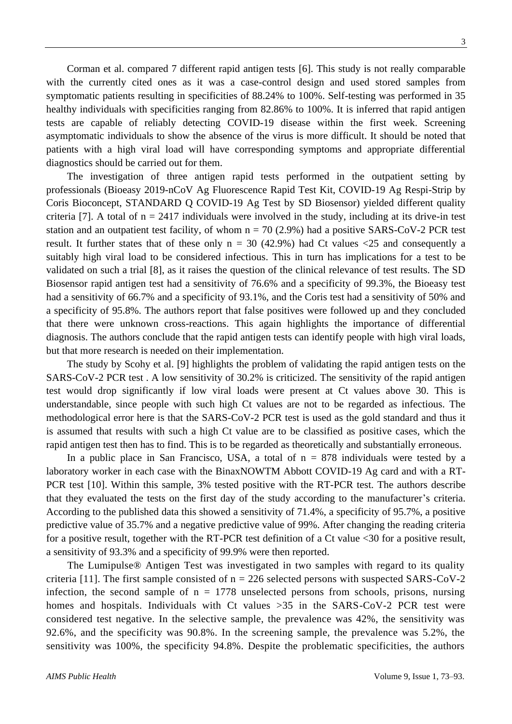Corman et al. compared 7 different rapid antigen tests [6]. This study is not really comparable with the currently cited ones as it was a case-control design and used stored samples from symptomatic patients resulting in specificities of 88.24% to 100%. Self-testing was performed in 35 healthy individuals with specificities ranging from 82.86% to 100%. It is inferred that rapid antigen tests are capable of reliably detecting COVID-19 disease within the first week. Screening asymptomatic individuals to show the absence of the virus is more difficult. It should be noted that patients with a high viral load will have corresponding symptoms and appropriate differential diagnostics should be carried out for them.

The investigation of three antigen rapid tests performed in the outpatient setting by professionals (Bioeasy 2019-nCoV Ag Fluorescence Rapid Test Kit, COVID-19 Ag Respi-Strip by Coris Bioconcept, STANDARD Q COVID-19 Ag Test by SD Biosensor) yielded different quality criteria [7]. A total of  $n = 2417$  individuals were involved in the study, including at its drive-in test station and an outpatient test facility, of whom  $n = 70$  (2.9%) had a positive SARS-CoV-2 PCR test result. It further states that of these only  $n = 30$  (42.9%) had Ct values  $\langle 25 \rangle$  and consequently a suitably high viral load to be considered infectious. This in turn has implications for a test to be validated on such a trial [8], as it raises the question of the clinical relevance of test results. The SD Biosensor rapid antigen test had a sensitivity of 76.6% and a specificity of 99.3%, the Bioeasy test had a sensitivity of 66.7% and a specificity of 93.1%, and the Coris test had a sensitivity of 50% and a specificity of 95.8%. The authors report that false positives were followed up and they concluded that there were unknown cross-reactions. This again highlights the importance of differential diagnosis. The authors conclude that the rapid antigen tests can identify people with high viral loads, but that more research is needed on their implementation.

The study by Scohy et al. [9] highlights the problem of validating the rapid antigen tests on the SARS-CoV-2 PCR test . A low sensitivity of 30.2% is criticized. The sensitivity of the rapid antigen test would drop significantly if low viral loads were present at Ct values above 30. This is understandable, since people with such high Ct values are not to be regarded as infectious. The methodological error here is that the SARS-CoV-2 PCR test is used as the gold standard and thus it is assumed that results with such a high Ct value are to be classified as positive cases, which the rapid antigen test then has to find. This is to be regarded as theoretically and substantially erroneous.

In a public place in San Francisco, USA, a total of  $n = 878$  individuals were tested by a laboratory worker in each case with the BinaxNOWTM Abbott COVID-19 Ag card and with a RT-PCR test [10]. Within this sample, 3% tested positive with the RT-PCR test. The authors describe that they evaluated the tests on the first day of the study according to the manufacturer's criteria. According to the published data this showed a sensitivity of 71.4%, a specificity of 95.7%, a positive predictive value of 35.7% and a negative predictive value of 99%. After changing the reading criteria for a positive result, together with the RT-PCR test definition of a Ct value <30 for a positive result, a sensitivity of 93.3% and a specificity of 99.9% were then reported.

The Lumipulse® Antigen Test was investigated in two samples with regard to its quality criteria [11]. The first sample consisted of  $n = 226$  selected persons with suspected SARS-CoV-2 infection, the second sample of  $n = 1778$  unselected persons from schools, prisons, nursing homes and hospitals. Individuals with Ct values >35 in the SARS-CoV-2 PCR test were considered test negative. In the selective sample, the prevalence was 42%, the sensitivity was 92.6%, and the specificity was 90.8%. In the screening sample, the prevalence was 5.2%, the sensitivity was 100%, the specificity 94.8%. Despite the problematic specificities, the authors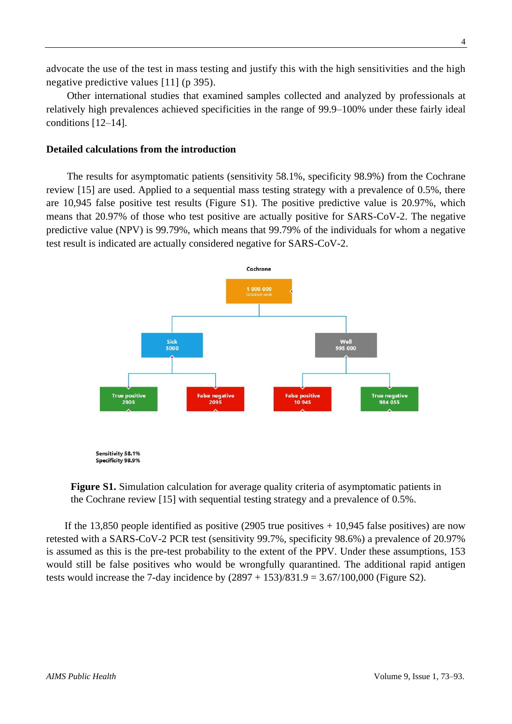advocate the use of the test in mass testing and justify this with the high sensitivities and the high negative predictive values [11] (p 395).

Other international studies that examined samples collected and analyzed by professionals at relatively high prevalences achieved specificities in the range of 99.9–100% under these fairly ideal conditions [12–14].

#### **Detailed calculations from the introduction**

The results for asymptomatic patients (sensitivity 58.1%, specificity 98.9%) from the Cochrane review [15] are used. Applied to a sequential mass testing strategy with a prevalence of 0.5%, there are 10,945 false positive test results (Figure S1). The positive predictive value is 20.97%, which means that 20.97% of those who test positive are actually positive for SARS-CoV-2. The negative predictive value (NPV) is 99.79%, which means that 99.79% of the individuals for whom a negative test result is indicated are actually considered negative for SARS-CoV-2.



**Figure S1.** Simulation calculation for average quality criteria of asymptomatic patients in the Cochrane review [15] with sequential testing strategy and a prevalence of 0.5%.

If the 13,850 people identified as positive (2905 true positives  $+10,945$  false positives) are now retested with a SARS-CoV-2 PCR test (sensitivity 99.7%, specificity 98.6%) a prevalence of 20.97% is assumed as this is the pre-test probability to the extent of the PPV. Under these assumptions, 153 would still be false positives who would be wrongfully quarantined. The additional rapid antigen tests would increase the 7-day incidence by  $(2897 + 153)/831.9 = 3.67/100,000$  (Figure S2).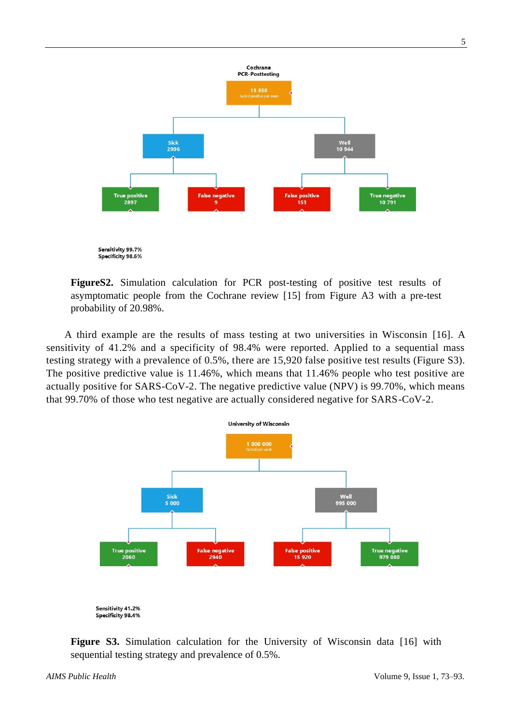

**FigureS2.** Simulation calculation for PCR post-testing of positive test results of asymptomatic people from the Cochrane review [15] from Figure A3 with a pre-test probability of 20.98%.

A third example are the results of mass testing at two universities in Wisconsin [16]. A sensitivity of 41.2% and a specificity of 98.4% were reported. Applied to a sequential mass testing strategy with a prevalence of 0.5%, there are 15,920 false positive test results (Figure S3). The positive predictive value is 11.46%, which means that 11.46% people who test positive are actually positive for SARS-CoV-2. The negative predictive value (NPV) is 99.70%, which means that 99.70% of those who test negative are actually considered negative for SARS-CoV-2.



Specificity 98.4%

**Figure S3.** Simulation calculation for the University of Wisconsin data [16] with sequential testing strategy and prevalence of 0.5%.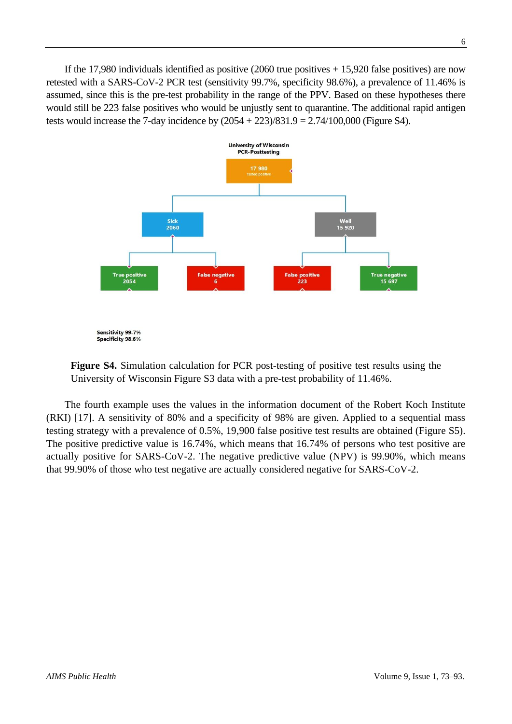If the 17,980 individuals identified as positive  $(2060$  true positives  $+ 15,920$  false positives) are now retested with a SARS-CoV-2 PCR test (sensitivity 99.7%, specificity 98.6%), a prevalence of 11.46% is assumed, since this is the pre-test probability in the range of the PPV. Based on these hypotheses there would still be 223 false positives who would be unjustly sent to quarantine. The additional rapid antigen tests would increase the 7-day incidence by  $(2054 + 223)/831.9 = 2.74/100,000$  (Figure S4).



**Figure S4.** Simulation calculation for PCR post-testing of positive test results using the University of Wisconsin Figure S3 data with a pre-test probability of 11.46%.

The fourth example uses the values in the information document of the Robert Koch Institute (RKI) [17]. A sensitivity of 80% and a specificity of 98% are given. Applied to a sequential mass testing strategy with a prevalence of 0.5%, 19,900 false positive test results are obtained (Figure S5). The positive predictive value is 16.74%, which means that 16.74% of persons who test positive are actually positive for SARS-CoV-2. The negative predictive value (NPV) is 99.90%, which means that 99.90% of those who test negative are actually considered negative for SARS-CoV-2.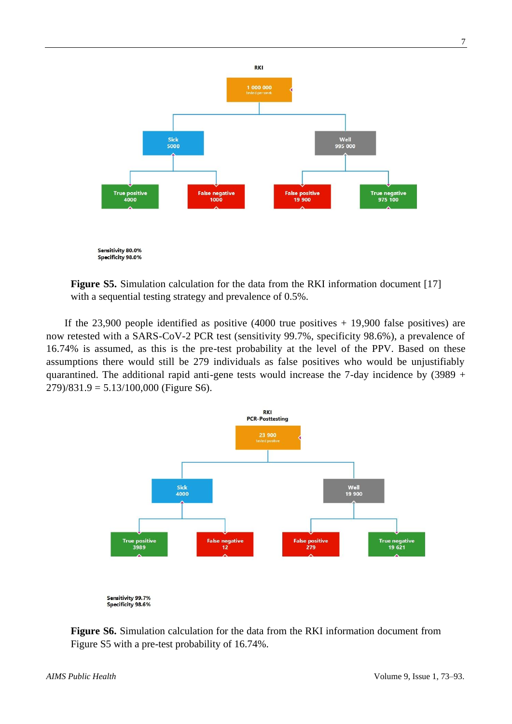

**Figure S5.** Simulation calculation for the data from the RKI information document [17] with a sequential testing strategy and prevalence of 0.5%.

If the  $23,900$  people identified as positive  $(4000)$  true positives + 19,900 false positives) are now retested with a SARS-CoV-2 PCR test (sensitivity 99.7%, specificity 98.6%), a prevalence of 16.74% is assumed, as this is the pre-test probability at the level of the PPV. Based on these assumptions there would still be 279 individuals as false positives who would be unjustifiably quarantined. The additional rapid anti-gene tests would increase the 7-day incidence by  $(3989 +$  $279/831.9 = 5.13/100,000$  (Figure S6).



**Figure S6.** Simulation calculation for the data from the RKI information document from Figure S5 with a pre-test probability of 16.74%.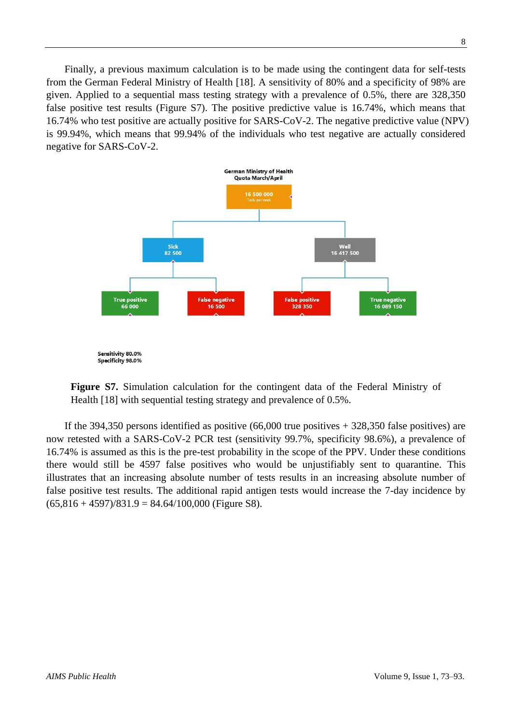Finally, a previous maximum calculation is to be made using the contingent data for self-tests from the German Federal Ministry of Health [18]. A sensitivity of 80% and a specificity of 98% are given. Applied to a sequential mass testing strategy with a prevalence of 0.5%, there are 328,350 false positive test results (Figure S7). The positive predictive value is 16.74%, which means that 16.74% who test positive are actually positive for SARS-CoV-2. The negative predictive value (NPV) is 99.94%, which means that 99.94% of the individuals who test negative are actually considered negative for SARS-CoV-2.



**Figure S7.** Simulation calculation for the contingent data of the Federal Ministry of Health [18] with sequential testing strategy and prevalence of 0.5%.

If the 394,350 persons identified as positive  $(66,000)$  true positives + 328,350 false positives) are now retested with a SARS-CoV-2 PCR test (sensitivity 99.7%, specificity 98.6%), a prevalence of 16.74% is assumed as this is the pre-test probability in the scope of the PPV. Under these conditions there would still be 4597 false positives who would be unjustifiably sent to quarantine. This illustrates that an increasing absolute number of tests results in an increasing absolute number of false positive test results. The additional rapid antigen tests would increase the 7-day incidence by  $(65,816 + 4597)/831.9 = 84.64/100,000$  (Figure S8).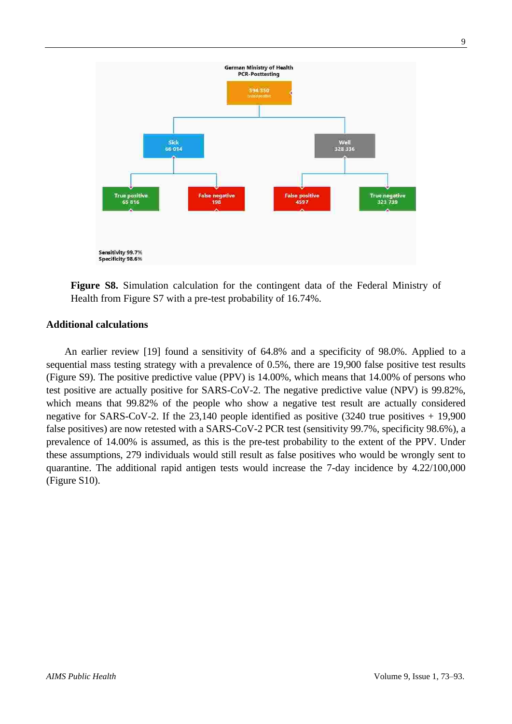

**Figure S8.** Simulation calculation for the contingent data of the Federal Ministry of Health from Figure S7 with a pre-test probability of 16.74%.

#### **Additional calculations**

An earlier review [19] found a sensitivity of 64.8% and a specificity of 98.0%. Applied to a sequential mass testing strategy with a prevalence of 0.5%, there are 19,900 false positive test results (Figure S9). The positive predictive value (PPV) is 14.00%, which means that 14.00% of persons who test positive are actually positive for SARS-CoV-2. The negative predictive value (NPV) is 99.82%, which means that 99.82% of the people who show a negative test result are actually considered negative for SARS-CoV-2. If the 23,140 people identified as positive (3240 true positives + 19,900 false positives) are now retested with a SARS-CoV-2 PCR test (sensitivity 99.7%, specificity 98.6%), a prevalence of 14.00% is assumed, as this is the pre-test probability to the extent of the PPV. Under these assumptions, 279 individuals would still result as false positives who would be wrongly sent to quarantine. The additional rapid antigen tests would increase the 7-day incidence by 4.22/100,000 (Figure S10).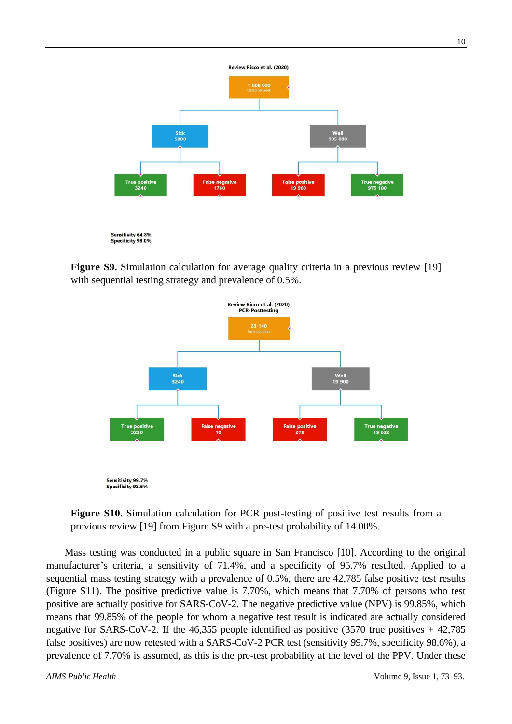

**Figure S9.** Simulation calculation for average quality criteria in a previous review [19] with sequential testing strategy and prevalence of 0.5%.



**Figure S10**. Simulation calculation for PCR post-testing of positive test results from a previous review [19] from Figure S9 with a pre-test probability of 14.00%.

Mass testing was conducted in a public square in San Francisco [10]. According to the original manufacturer's criteria, a sensitivity of 71.4%, and a specificity of 95.7% resulted. Applied to a sequential mass testing strategy with a prevalence of 0.5%, there are 42,785 false positive test results (Figure S11). The positive predictive value is 7.70%, which means that 7.70% of persons who test positive are actually positive for SARS-CoV-2. The negative predictive value (NPV) is 99.85%, which means that 99.85% of the people for whom a negative test result is indicated are actually considered negative for SARS-CoV-2. If the 46,355 people identified as positive (3570 true positives + 42,785 false positives) are now retested with a SARS-CoV-2 PCR test (sensitivity 99.7%, specificity 98.6%), a prevalence of 7.70% is assumed, as this is the pre-test probability at the level of the PPV. Under these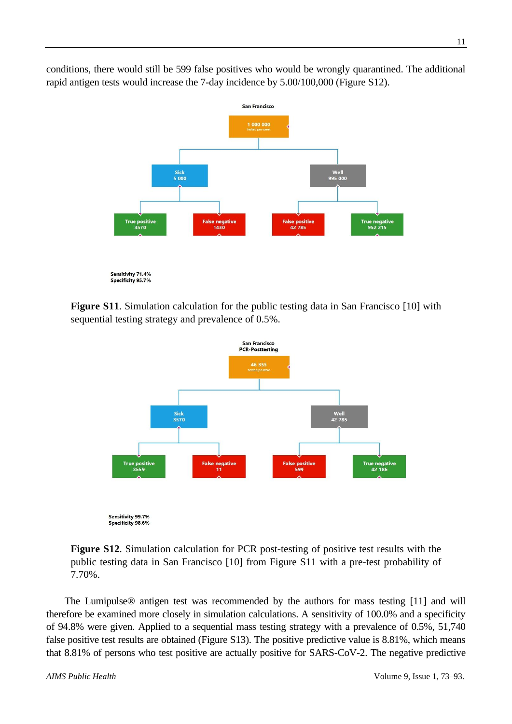conditions, there would still be 599 false positives who would be wrongly quarantined. The additional rapid antigen tests would increase the 7-day incidence by 5.00/100,000 (Figure S12).



**Figure S11.** Simulation calculation for the public testing data in San Francisco [10] with sequential testing strategy and prevalence of 0.5%.



**Figure S12**. Simulation calculation for PCR post-testing of positive test results with the public testing data in San Francisco [10] from Figure S11 with a pre-test probability of 7.70%.

The Lumipulse® antigen test was recommended by the authors for mass testing [11] and will therefore be examined more closely in simulation calculations. A sensitivity of 100.0% and a specificity of 94.8% were given. Applied to a sequential mass testing strategy with a prevalence of 0.5%, 51,740 false positive test results are obtained (Figure S13). The positive predictive value is 8.81%, which means that 8.81% of persons who test positive are actually positive for SARS-CoV-2. The negative predictive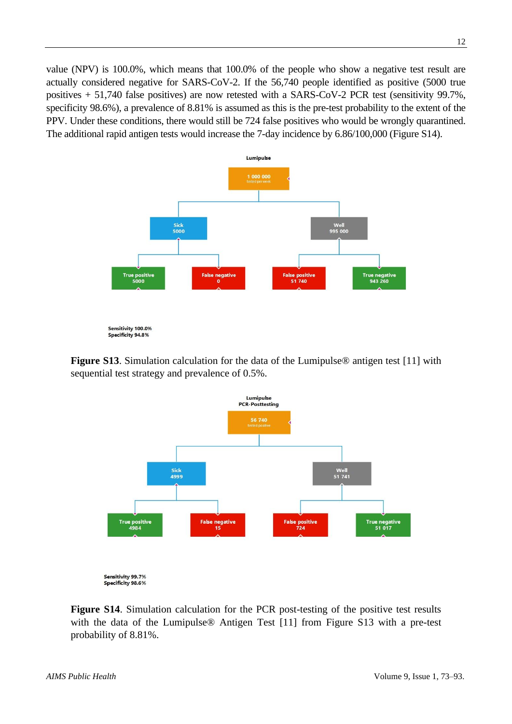value (NPV) is 100.0%, which means that 100.0% of the people who show a negative test result are actually considered negative for SARS-CoV-2. If the 56,740 people identified as positive (5000 true positives + 51,740 false positives) are now retested with a SARS-CoV-2 PCR test (sensitivity 99.7%, specificity 98.6%), a prevalence of 8.81% is assumed as this is the pre-test probability to the extent of the PPV. Under these conditions, there would still be 724 false positives who would be wrongly quarantined. The additional rapid antigen tests would increase the 7-day incidence by 6.86/100,000 (Figure S14).



**Figure S13.** Simulation calculation for the data of the Lumipulse<sup>®</sup> antigen test [11] with sequential test strategy and prevalence of 0.5%.



Sensitivity 99.7% Specificity 98.6%

**Figure S14**. Simulation calculation for the PCR post-testing of the positive test results with the data of the Lumipulse<sup>®</sup> Antigen Test [11] from Figure S13 with a pre-test probability of 8.81%.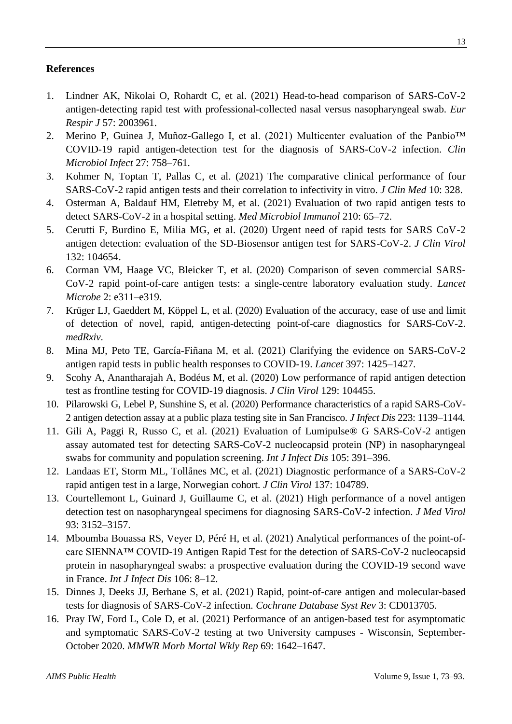### **References**

- 1. Lindner AK, Nikolai O, Rohardt C, et al. (2021) Head-to-head comparison of SARS-CoV-2 antigen-detecting rapid test with professional-collected nasal versus nasopharyngeal swab. *Eur Respir J* 57: 2003961.
- 2. Merino P, Guinea J, Muñoz-Gallego I, et al. (2021) Multicenter evaluation of the Panbio™ COVID-19 rapid antigen-detection test for the diagnosis of SARS-CoV-2 infection. *Clin Microbiol Infect* 27: 758–761.
- 3. Kohmer N, Toptan T, Pallas C, et al. (2021) The comparative clinical performance of four SARS-CoV-2 rapid antigen tests and their correlation to infectivity in vitro. *J Clin Med* 10: 328.
- 4. Osterman A, Baldauf HM, Eletreby M, et al. (2021) Evaluation of two rapid antigen tests to detect SARS-CoV-2 in a hospital setting. *Med Microbiol Immunol* 210: 65–72.
- 5. Cerutti F, Burdino E, Milia MG, et al. (2020) Urgent need of rapid tests for SARS CoV-2 antigen detection: evaluation of the SD-Biosensor antigen test for SARS-CoV-2. *J Clin Virol* 132: 104654.
- 6. Corman VM, Haage VC, Bleicker T, et al. (2020) Comparison of seven commercial SARS-CoV-2 rapid point-of-care antigen tests: a single-centre laboratory evaluation study. *Lancet Microbe* 2: e311–e319.
- 7. Krüger LJ, Gaeddert M, Köppel L, et al. (2020) Evaluation of the accuracy, ease of use and limit of detection of novel, rapid, antigen-detecting point-of-care diagnostics for SARS-CoV-2. *medRxiv*.
- 8. Mina MJ, Peto TE, García-Fiñana M, et al. (2021) Clarifying the evidence on SARS-CoV-2 antigen rapid tests in public health responses to COVID-19. *Lancet* 397: 1425–1427.
- 9. Scohy A, Anantharajah A, Bodéus M, et al. (2020) Low performance of rapid antigen detection test as frontline testing for COVID-19 diagnosis. *J Clin Virol* 129: 104455.
- 10. Pilarowski G, Lebel P, Sunshine S, et al. (2020) Performance characteristics of a rapid SARS-CoV-2 antigen detection assay at a public plaza testing site in San Francisco. *J Infect Dis* 223: 1139–1144.
- 11. Gili A, Paggi R, Russo C, et al. (2021) Evaluation of Lumipulse® G SARS-CoV-2 antigen assay automated test for detecting SARS-CoV-2 nucleocapsid protein (NP) in nasopharyngeal swabs for community and population screening. *Int J Infect Dis* 105: 391–396.
- 12. Landaas ET, Storm ML, Tollånes MC, et al. (2021) Diagnostic performance of a SARS-CoV-2 rapid antigen test in a large, Norwegian cohort. *J Clin Virol* 137: 104789.
- 13. Courtellemont L, Guinard J, Guillaume C, et al. (2021) High performance of a novel antigen detection test on nasopharyngeal specimens for diagnosing SARS-CoV-2 infection. *J Med Virol* 93: 3152–3157.
- 14. Mboumba Bouassa RS, Veyer D, Péré H, et al. (2021) Analytical performances of the point-ofcare SIENNA™ COVID-19 Antigen Rapid Test for the detection of SARS-CoV-2 nucleocapsid protein in nasopharyngeal swabs: a prospective evaluation during the COVID-19 second wave in France. *Int J Infect Dis* 106: 8–12.
- 15. Dinnes J, Deeks JJ, Berhane S, et al. (2021) Rapid, point-of-care antigen and molecular-based tests for diagnosis of SARS-CoV-2 infection. *Cochrane Database Syst Rev* 3: CD013705.
- 16. Pray IW, Ford L, Cole D, et al. (2021) Performance of an antigen-based test for asymptomatic and symptomatic SARS-CoV-2 testing at two University campuses - Wisconsin, September-October 2020. *MMWR Morb Mortal Wkly Rep* 69: 1642–1647.